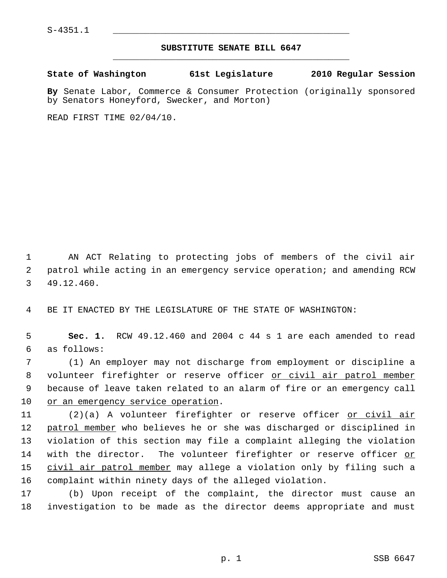## **SUBSTITUTE SENATE BILL 6647** \_\_\_\_\_\_\_\_\_\_\_\_\_\_\_\_\_\_\_\_\_\_\_\_\_\_\_\_\_\_\_\_\_\_\_\_\_\_\_\_\_\_\_\_\_

**State of Washington 61st Legislature 2010 Regular Session**

**By** Senate Labor, Commerce & Consumer Protection (originally sponsored by Senators Honeyford, Swecker, and Morton)

READ FIRST TIME 02/04/10.

 1 AN ACT Relating to protecting jobs of members of the civil air 2 patrol while acting in an emergency service operation; and amending RCW 3 49.12.460.

4 BE IT ENACTED BY THE LEGISLATURE OF THE STATE OF WASHINGTON:

 5 **Sec. 1.** RCW 49.12.460 and 2004 c 44 s 1 are each amended to read 6 as follows:

 7 (1) An employer may not discharge from employment or discipline a 8 volunteer firefighter or reserve officer or civil air patrol member 9 because of leave taken related to an alarm of fire or an emergency call 10 or an emergency service operation.

11 (2)(a) A volunteer firefighter or reserve officer or civil air 12 patrol member who believes he or she was discharged or disciplined in 13 violation of this section may file a complaint alleging the violation 14 with the director. The volunteer firefighter or reserve officer or 15 civil air patrol member may allege a violation only by filing such a 16 complaint within ninety days of the alleged violation.

17 (b) Upon receipt of the complaint, the director must cause an 18 investigation to be made as the director deems appropriate and must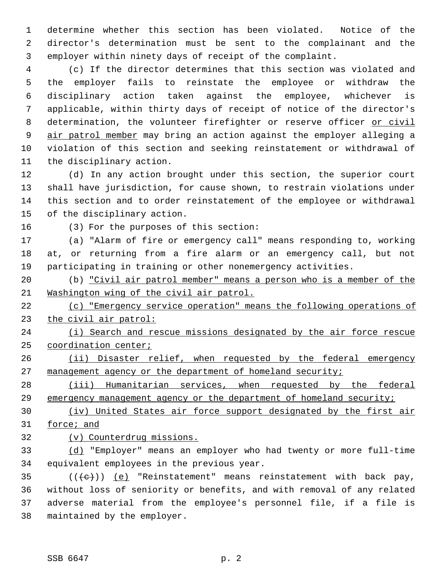1 determine whether this section has been violated. Notice of the 2 director's determination must be sent to the complainant and the 3 employer within ninety days of receipt of the complaint.

 4 (c) If the director determines that this section was violated and 5 the employer fails to reinstate the employee or withdraw the 6 disciplinary action taken against the employee, whichever is 7 applicable, within thirty days of receipt of notice of the director's 8 determination, the volunteer firefighter or reserve officer or civil 9 air patrol member may bring an action against the employer alleging a 10 violation of this section and seeking reinstatement or withdrawal of 11 the disciplinary action.

12 (d) In any action brought under this section, the superior court 13 shall have jurisdiction, for cause shown, to restrain violations under 14 this section and to order reinstatement of the employee or withdrawal 15 of the disciplinary action.

16 (3) For the purposes of this section:

17 (a) "Alarm of fire or emergency call" means responding to, working 18 at, or returning from a fire alarm or an emergency call, but not 19 participating in training or other nonemergency activities.

20 (b) "Civil air patrol member" means a person who is a member of the 21 Washington wing of the civil air patrol.

22 (c) "Emergency service operation" means the following operations of 23 the civil air patrol:

24 (i) Search and rescue missions designated by the air force rescue 25 coordination center;

26 (ii) Disaster relief, when requested by the federal emergency 27 management agency or the department of homeland security;

28 (iii) Humanitarian services, when requested by the federal 29 emergency management agency or the department of homeland security;

30 (iv) United States air force support designated by the first air 31 force; and

32 (v) Counterdrug missions.

33 (d) "Employer" means an employer who had twenty or more full-time 34 equivalent employees in the previous year.

35  $((\text{+e})^{\circ})$  (e) "Reinstatement" means reinstatement with back pay, 36 without loss of seniority or benefits, and with removal of any related 37 adverse material from the employee's personnel file, if a file is 38 maintained by the employer.